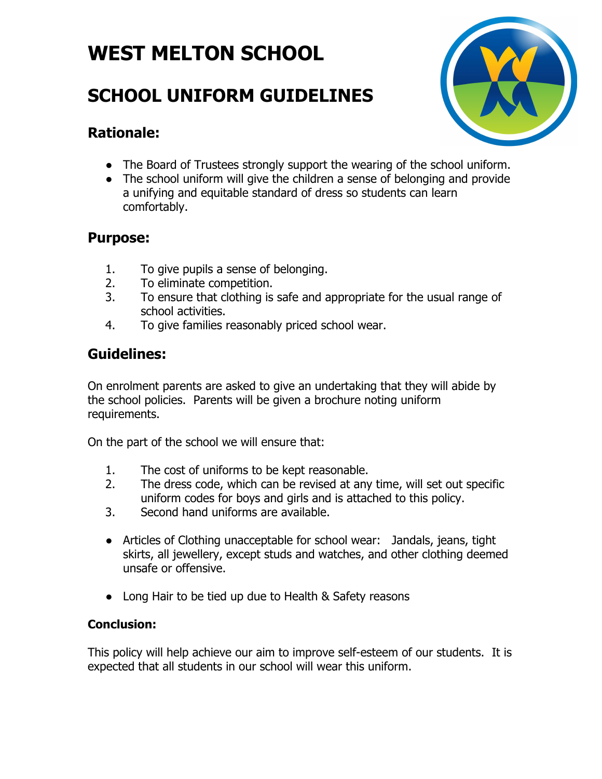# **WEST MELTON SCHOOL**

## **SCHOOL UNIFORM GUIDELINES**



### **Rationale:**

- The Board of Trustees strongly support the wearing of the school uniform.
- The school uniform will give the children a sense of belonging and provide a unifying and equitable standard of dress so students can learn comfortably.

### **Purpose:**

- 1. To give pupils a sense of belonging.
- 2. To eliminate competition.
- 3. To ensure that clothing is safe and appropriate for the usual range of school activities.
- 4. To give families reasonably priced school wear.

## **Guidelines:**

On enrolment parents are asked to give an undertaking that they will abide by the school policies. Parents will be given a brochure noting uniform requirements.

On the part of the school we will ensure that:

- 1. The cost of uniforms to be kept reasonable.
- 2. The dress code, which can be revised at any time, will set out specific uniform codes for boys and girls and is attached to this policy.
- 3. Second hand uniforms are available.
- Articles of Clothing unacceptable for school wear: Jandals, jeans, tight skirts, all jewellery, except studs and watches, and other clothing deemed unsafe or offensive.
- Long Hair to be tied up due to Health & Safety reasons

### **Conclusion:**

This policy will help achieve our aim to improve self-esteem of our students. It is expected that all students in our school will wear this uniform.